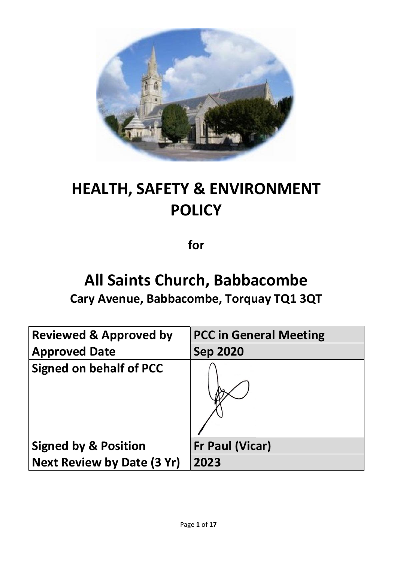

# **HEALTH, SAFETY & ENVIRONMENT POLICY**

**for**

## **All Saints Church, Babbacombe Cary Avenue, Babbacombe, Torquay TQ1 3QT**

| <b>Reviewed &amp; Approved by</b> | <b>PCC in General Meeting</b> |
|-----------------------------------|-------------------------------|
| <b>Approved Date</b>              | <b>Sep 2020</b>               |
| <b>Signed on behalf of PCC</b>    |                               |
| <b>Signed by &amp; Position</b>   | <b>Fr Paul (Vicar)</b>        |
| <b>Next Review by Date (3 Yr)</b> | 2023                          |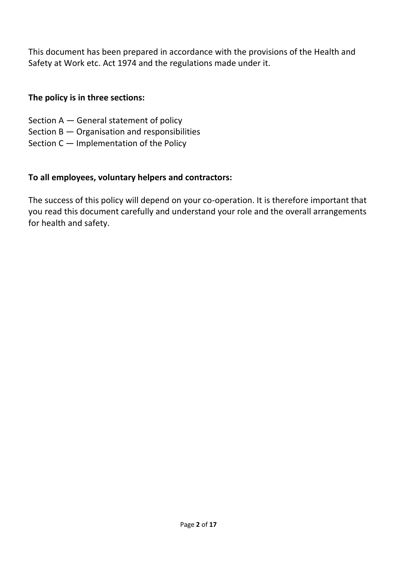This document has been prepared in accordance with the provisions of the Health and Safety at Work etc. Act 1974 and the regulations made under it.

## **The policy is in three sections:**

- Section A General statement of policy
- Section B Organisation and responsibilities
- Section C Implementation of the Policy

## **To all employees, voluntary helpers and contractors:**

The success of this policy will depend on your co-operation. It is therefore important that you read this document carefully and understand your role and the overall arrangements for health and safety.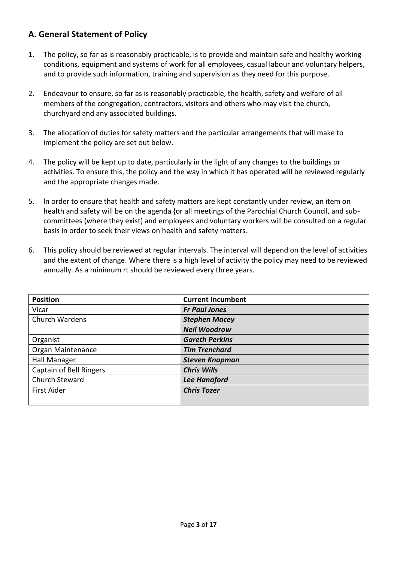## **A. General Statement of Policy**

- 1. The policy, so far as is reasonably practicable, is to provide and maintain safe and healthy working conditions, equipment and systems of work for all employees, casual labour and voluntary helpers, and to provide such information, training and supervision as they need for this purpose.
- 2. Endeavour to ensure, so far as is reasonably practicable, the health, safety and welfare of all members of the congregation, contractors, visitors and others who may visit the church, churchyard and any associated buildings.
- 3. The allocation of duties for safety matters and the particular arrangements that will make to implement the policy are set out below.
- 4. The policy will be kept up to date, particularly in the light of any changes to the buildings or activities. To ensure this, the policy and the way in which it has operated will be reviewed regularly and the appropriate changes made.
- 5. ln order to ensure that health and safety matters are kept constantly under review, an item on health and safety will be on the agenda {or all meetings of the Parochial Church Council, and subcommittees (where they exist) and employees and voluntary workers will be consulted on a regular basis in order to seek their views on health and safety matters.
- 6. This policy should be reviewed at regular intervals. The interval will depend on the level of activities and the extent of change. Where there is a high level of activity the policy may need to be reviewed annually. As a minimum rt should be reviewed every three years.

| <b>Position</b>         | <b>Current Incumbent</b> |
|-------------------------|--------------------------|
| Vicar                   | <b>Fr Paul Jones</b>     |
| Church Wardens          | <b>Stephen Macey</b>     |
|                         | <b>Neil Woodrow</b>      |
| Organist                | <b>Gareth Perkins</b>    |
| Organ Maintenance       | <b>Tim Trenchard</b>     |
| Hall Manager            | <b>Steven Knapman</b>    |
| Captain of Bell Ringers | <b>Chris Wills</b>       |
| Church Steward          | <b>Lee Hanaford</b>      |
| <b>First Aider</b>      | <b>Chris Tozer</b>       |
|                         |                          |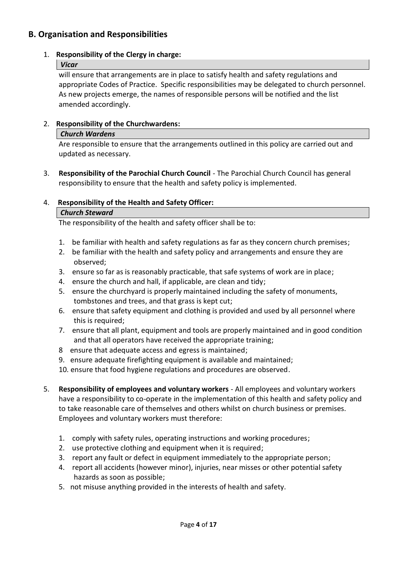## **B. Organisation and Responsibilities**

#### 1. **Responsibility of the Clergy in charge:**

#### *Vicar*

will ensure that arrangements are in place to satisfy health and safety regulations and appropriate Codes of Practice. Specific responsibilities may be delegated to church personnel. As new projects emerge, the names of responsible persons will be notified and the list amended accordingly.

#### 2. **Responsibility of the Churchwardens:**

#### *Church Wardens*

Are responsible to ensure that the arrangements outlined in this policy are carried out and updated as necessary.

3. **Responsibility of the Parochial Church Council** - The Parochial Church Council has general responsibility to ensure that the health and safety policy is implemented.

#### 4. **Responsibility of the Health and Safety Officer:**

#### *Church Steward*

The responsibility of the health and safety officer shall be to:

- 1. be familiar with health and safety regulations as far as they concern church premises;
- 2. be familiar with the health and safety policy and arrangements and ensure they are observed;
- 3. ensure so far as is reasonably practicable, that safe systems of work are in place;
- 4. ensure the church and hall, if applicable, are clean and tidy;
- 5. ensure the churchyard is properly maintained including the safety of monuments, tombstones and trees, and that grass is kept cut;
- 6. ensure that safety equipment and clothing is provided and used by all personnel where this is required;
- 7. ensure that all plant, equipment and tools are properly maintained and in good condition and that all operators have received the appropriate training;
- 8 ensure that adequate access and egress is maintained;
- 9. ensure adequate firefighting equipment is available and maintained;
- 10. ensure that food hygiene regulations and procedures are observed.
- 5. **Responsibility of employees and voluntary workers** All employees and voluntary workers have a responsibility to co-operate in the implementation of this health and safety policy and to take reasonable care of themselves and others whilst on church business or premises. Employees and voluntary workers must therefore:
	- 1. comply with safety rules, operating instructions and working procedures;
	- 2. use protective clothing and equipment when it is required;
	- 3. report any fault or defect in equipment immediately to the appropriate person;
	- 4. report all accidents (however minor), injuries, near misses or other potential safety hazards as soon as possible;
	- 5. not misuse anything provided in the interests of health and safety.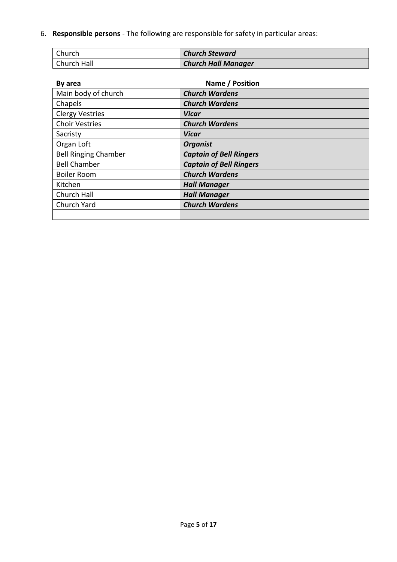6. **Responsible persons** - The following are responsible for safety in particular areas:

| Church      | <b>Church Steward</b>      |
|-------------|----------------------------|
| Church Hall | <b>Church Hall Manager</b> |

| By area                     | Name / Position                |
|-----------------------------|--------------------------------|
| Main body of church         | <b>Church Wardens</b>          |
| Chapels                     | <b>Church Wardens</b>          |
| <b>Clergy Vestries</b>      | Vicar                          |
| <b>Choir Vestries</b>       | <b>Church Wardens</b>          |
| Sacristy                    | <b>Vicar</b>                   |
| Organ Loft                  | <b>Organist</b>                |
| <b>Bell Ringing Chamber</b> | <b>Captain of Bell Ringers</b> |
| <b>Bell Chamber</b>         | <b>Captain of Bell Ringers</b> |
| <b>Boiler Room</b>          | <b>Church Wardens</b>          |
| Kitchen                     | <b>Hall Manager</b>            |
| Church Hall                 | <b>Hall Manager</b>            |
| Church Yard                 | <b>Church Wardens</b>          |
|                             |                                |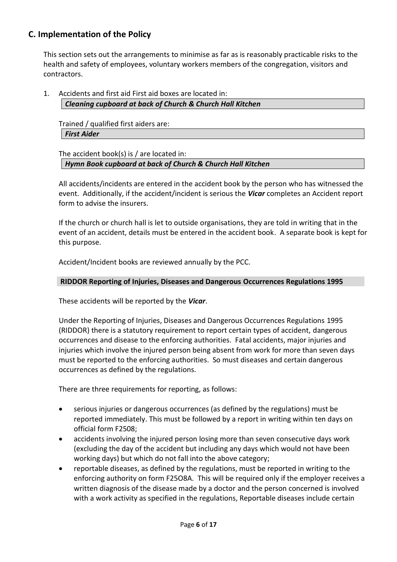## **C. Implementation of the Policy**

This section sets out the arrangements to minimise as far as is reasonably practicable risks to the health and safety of employees, voluntary workers members of the congregation, visitors and contractors.

1. Accidents and first aid First aid boxes are located in: *Cleaning cupboard at back of Church & Church Hall Kitchen*

Trained / qualified first aiders are: *First Aider*

The accident book(s) is / are located in:

*Hymn Book cupboard at back of Church & Church Hall Kitchen*

All accidents/incidents are entered in the accident book by the person who has witnessed the event. Additionally, if the accident/incident is serious the *Vicar* completes an Accident report form to advise the insurers.

If the church or church hall is let to outside organisations, they are told in writing that in the event of an accident, details must be entered in the accident book. A separate book is kept for this purpose.

Accident/Incident books are reviewed annually by the PCC.

#### **RIDDOR Reporting of Injuries, Diseases and Dangerous Occurrences Regulations 1995**

These accidents will be reported by the *Vicar*.

Under the Reporting of Injuries, Diseases and Dangerous Occurrences Regulations 1995 (RIDDOR) there is a statutory requirement to report certain types of accident, dangerous occurrences and disease to the enforcing authorities. Fatal accidents, major injuries and injuries which involve the injured person being absent from work for more than seven days must be reported to the enforcing authorities. So must diseases and certain dangerous occurrences as defined by the regulations.

There are three requirements for reporting, as follows:

- serious injuries or dangerous occurrences (as defined by the regulations) must be reported immediately. This must be followed by a report in writing within ten days on official form F2508;
- accidents involving the injured person losing more than seven consecutive days work (excluding the day of the accident but including any days which would not have been working days) but which do not fall into the above category;
- reportable diseases, as defined by the regulations, must be reported in writing to the enforcing authority on form F25O8A. This will be required only if the employer receives a written diagnosis of the disease made by a doctor and the person concerned is involved with a work activity as specified in the regulations, Reportable diseases include certain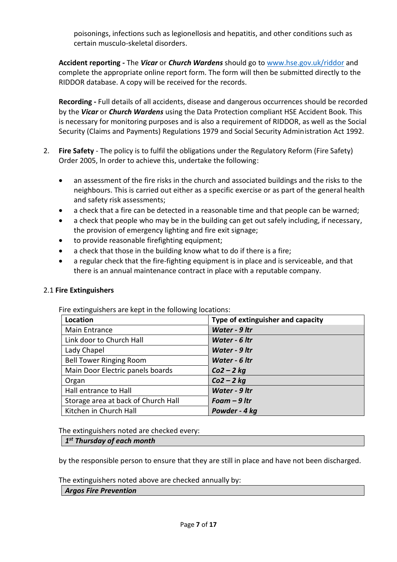poisonings, infections such as legionellosis and hepatitis, and other conditions such as certain musculo-skeletal disorders.

**Accident reporting -** The *Vicar* or *Church Wardens* should go t[o www.hse.gov.uk/riddor](http://www.hse.gov.uk/riddor) and complete the appropriate online report form. The form will then be submitted directly to the RIDDOR database. A copy will be received for the records.

**Recording -** Full details of all accidents, disease and dangerous occurrences should be recorded by the *Vicar* or *Church Wardens* using the Data Protection compliant HSE Accident Book. This is necessary for monitoring purposes and is also a requirement of RIDDOR, as well as the Social Security (Claims and Payments) Regulations 1979 and Social Security Administration Act 1992.

- 2. **Fire Safety** The policy is to fulfil the obligations under the Regulatory Reform (Fire Safety) Order 2005, ln order to achieve this, undertake the following:
	- an assessment of the fire risks in the church and associated buildings and the risks to the neighbours. This is carried out either as a specific exercise or as part of the general health and safety risk assessments;
	- a check that a fire can be detected in a reasonable time and that people can be warned;
	- a check that people who may be in the building can get out safely including, if necessary, the provision of emergency lighting and fire exit signage;
	- to provide reasonable firefighting equipment;
	- a check that those in the building know what to do if there is a fire;
	- a regular check that the fire-fighting equipment is in place and is serviceable, and that there is an annual maintenance contract in place with a reputable company.

## 2.1 **Fire Extinguishers**

Fire extinguishers are kept in the following locations:

| Location                            | Type of extinguisher and capacity |
|-------------------------------------|-----------------------------------|
| Main Entrance                       | Water - 9 ltr                     |
| Link door to Church Hall            | Water - 6 ltr                     |
| Lady Chapel                         | Water - 9 ltr                     |
| <b>Bell Tower Ringing Room</b>      | Water - 6 ltr                     |
| Main Door Electric panels boards    | $Co2 - 2$ kg                      |
| Organ                               | $Co2 - 2$ kg                      |
| Hall entrance to Hall               | Water - 9 ltr                     |
| Storage area at back of Church Hall | Foam $-9$ ltr                     |
| Kitchen in Church Hall              | Powder - 4 kg                     |

The extinguishers noted are checked every:

## *1 st Thursday of each month*

by the responsible person to ensure that they are still in place and have not been discharged.

The extinguishers noted above are checked annually by:

#### *Argos Fire Prevention*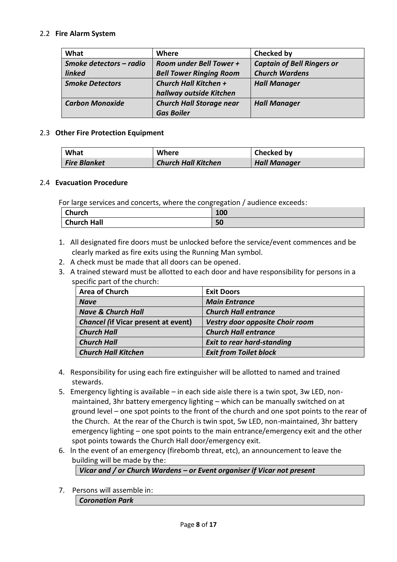#### 2.2 **Fire Alarm System**

| What                    | <b>Where</b>                    | <b>Checked by</b>                 |
|-------------------------|---------------------------------|-----------------------------------|
| Smoke detectors - radio | <b>Room under Bell Tower +</b>  | <b>Captain of Bell Ringers or</b> |
| <b>linked</b>           | <b>Bell Tower Ringing Room</b>  | <b>Church Wardens</b>             |
| <b>Smoke Detectors</b>  | Church Hall Kitchen +           | <b>Hall Manager</b>               |
|                         | hallway outside Kitchen         |                                   |
| <b>Carbon Monoxide</b>  | <b>Church Hall Storage near</b> | <b>Hall Manager</b>               |
|                         | <b>Gas Boiler</b>               |                                   |

#### 2.3 **Other Fire Protection Equipment**

| What                | Where                      | Checked by          |
|---------------------|----------------------------|---------------------|
| <b>Fire Blanket</b> | <b>Church Hall Kitchen</b> | <b>Hall Manager</b> |

#### 2.4 **Evacuation Procedure**

For large services and concerts, where the congregation / audience exceeds:

| <b>Church</b>      | 100<br>TUN |
|--------------------|------------|
| <b>Church Hall</b> | 50         |

- 1. All designated fire doors must be unlocked before the service/event commences and be clearly marked as fire exits using the Running Man symbol.
- 2. A check must be made that all doors can be opened.
- 3. A trained steward must be allotted to each door and have responsibility for persons in a specific part of the church:

| <b>Area of Church</b>                      | <b>Exit Doors</b>                 |
|--------------------------------------------|-----------------------------------|
| <b>Nave</b>                                | <b>Main Entrance</b>              |
| <b>Nave &amp; Church Hall</b>              | <b>Church Hall entrance</b>       |
| <b>Chancel (if Vicar present at event)</b> | Vestry door opposite Choir room   |
| <b>Church Hall</b>                         | <b>Church Hall entrance</b>       |
| <b>Church Hall</b>                         | <b>Exit to rear hard-standing</b> |
| <b>Church Hall Kitchen</b>                 | <b>Exit from Toilet block</b>     |

- 4. Responsibility for using each fire extinguisher will be allotted to named and trained stewards.
- 5. Emergency lighting is available in each side aisle there is a twin spot, 3w LED, nonmaintained, 3hr battery emergency lighting – which can be manually switched on at ground level – one spot points to the front of the church and one spot points to the rear of the Church. At the rear of the Church is twin spot, 5w LED, non-maintained, 3hr battery emergency lighting – one spot points to the main entrance/emergency exit and the other spot points towards the Church Hall door/emergency exit.
- 6. ln the event of an emergency (firebomb threat, etc), an announcement to leave the building will be made by the:

#### *Vicar and / or Church Wardens – or Event organiser if Vicar not present*

7. Persons will assemble in: *Coronation Park*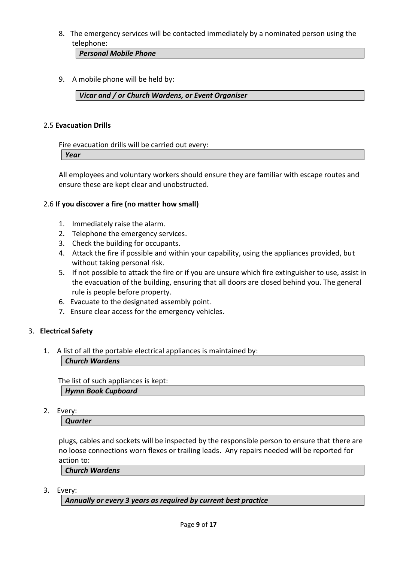8. The emergency services will be contacted immediately by a nominated person using the telephone:

*Personal Mobile Phone*

9. A mobile phone will be held by:

#### *Vicar and / or Church Wardens, or Event Organiser*

#### 2.5 **Evacuation Drills**

Fire evacuation drills will be carried out every:

*Year*

All employees and voluntary workers should ensure they are familiar with escape routes and ensure these are kept clear and unobstructed.

#### 2.6 **If you discover a fire (no matter how small)**

- 1. Immediately raise the alarm.
- 2. Telephone the emergency services.
- 3. Check the building for occupants.
- 4. Attack the fire if possible and within your capability, using the appliances provided, but without taking personal risk.
- 5. If not possible to attack the fire or if you are unsure which fire extinguisher to use, assist in the evacuation of the building, ensuring that all doors are closed behind you. The general rule is people before property.
- 6. Evacuate to the designated assembly point.
- 7. Ensure clear access for the emergency vehicles.

#### 3. **Electrical Safety**

1. A list of all the portable electrical appliances is maintained by:

*Church Wardens*

 The list of such appliances is kept: *Hymn Book Cupboard*

2. Every:

*Quarter*

plugs, cables and sockets will be inspected by the responsible person to ensure that there are no loose connections worn flexes or trailing leads. Any repairs needed will be reported for action to:

*Church Wardens*

3. Every:

*Annually or every 3 years as required by current best practice*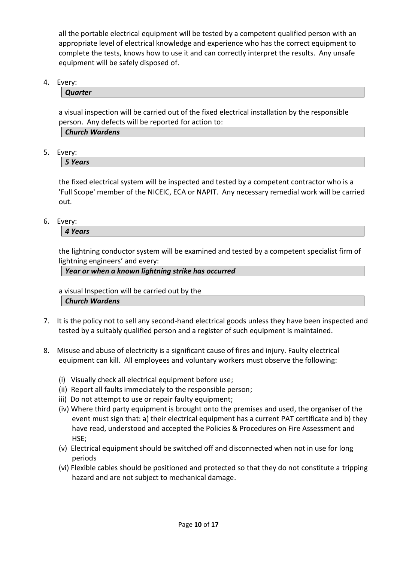all the portable electrical equipment will be tested by a competent qualified person with an appropriate level of electrical knowledge and experience who has the correct equipment to complete the tests, knows how to use it and can correctly interpret the results. Any unsafe equipment will be safely disposed of.

4. Every:

*Quarter*

a visual inspection will be carried out of the fixed electrical installation by the responsible person. Any defects will be reported for action to:

| <b>Church Wardens</b> |  |  |
|-----------------------|--|--|
|                       |  |  |

5. Every:

*5 Years*

the fixed electrical system will be inspected and tested by a competent contractor who is a 'Full Scope' member of the NICEIC, ECA or NAPIT. Any necessary remedial work will be carried out.

6. Every:

*4 Years*

the lightning conductor system will be examined and tested by a competent specialist firm of lightning engineers' and every:

*Year or when a known lightning strike has occurred*

a visual Inspection will be carried out by the *Church Wardens*

- 7. It is the policy not to sell any second-hand electrical goods unless they have been inspected and tested by a suitably qualified person and a register of such equipment is maintained.
- 8. Misuse and abuse of electricity is a significant cause of fires and injury. Faulty electrical equipment can kill. All employees and voluntary workers must observe the following:
	- (i) Visually check all electrical equipment before use;
	- (ii) Report all faults immediately to the responsible person;
	- iii) Do not attempt to use or repair faulty equipment;
	- (iv) Where third party equipment is brought onto the premises and used, the organiser of the event must sign that: a) their electrical equipment has a current PAT certificate and b) they have read, understood and accepted the Policies & Procedures on Fire Assessment and HSE;
	- (v) Electrical equipment should be switched off and disconnected when not in use for long periods
	- (vi) Flexible cables should be positioned and protected so that they do not constitute a tripping hazard and are not subject to mechanical damage.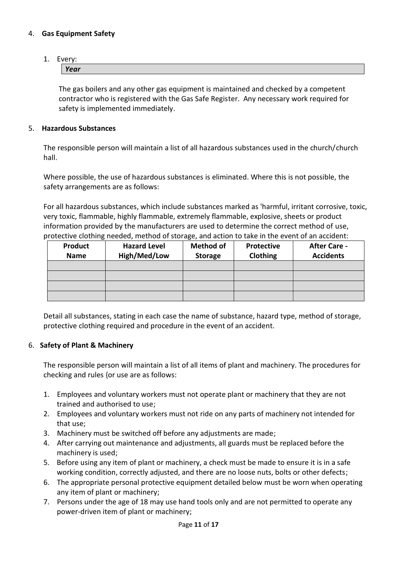#### 4. **Gas Equipment Safety**

## 1. Every:

*Year*

The gas boilers and any other gas equipment is maintained and checked by a competent contractor who is registered with the Gas Safe Register. Any necessary work required for safety is implemented immediately.

#### 5. **Hazardous Substances**

The responsible person will maintain a list of all hazardous substances used in the church/church hall.

Where possible, the use of hazardous substances is eliminated. Where this is not possible, the safety arrangements are as follows:

For all hazardous substances, which include substances marked as 'harmful, irritant corrosive, toxic, very toxic, flammable, highly flammable, extremely flammable, explosive, sheets or product information provided by the manufacturers are used to determine the correct method of use, protective clothing needed, method of storage, and action to take in the event of an accident:

| <b>Product</b> | <b>Hazard Level</b> | <b>Method of</b> | Protective | <b>After Care -</b> |
|----------------|---------------------|------------------|------------|---------------------|
| <b>Name</b>    | High/Med/Low        | <b>Storage</b>   | Clothing   | <b>Accidents</b>    |
|                |                     |                  |            |                     |
|                |                     |                  |            |                     |
|                |                     |                  |            |                     |
|                |                     |                  |            |                     |

Detail all substances, stating in each case the name of substance, hazard type, method of storage, protective clothing required and procedure in the event of an accident.

#### 6. **Safety of Plant & Machinery**

The responsible person will maintain a list of all items of plant and machinery. The procedures for checking and rules {or use are as follows:

- 1. Employees and voluntary workers must not operate plant or machinery that they are not trained and authorised to use;
- 2. Employees and voluntary workers must not ride on any parts of machinery not intended for that use;
- 3. Machinery must be switched off before any adjustments are made;
- 4. After carrying out maintenance and adjustments, all guards must be replaced before the machinery is used;
- 5. Before using any item of plant or machinery, a check must be made to ensure it is in a safe working condition, correctly adjusted, and there are no loose nuts, bolts or other defects;
- 6. The appropriate personal protective equipment detailed below must be worn when operating any item of plant or machinery;
- 7. Persons under the age of 18 may use hand tools only and are not permitted to operate any power-driven item of plant or machinery;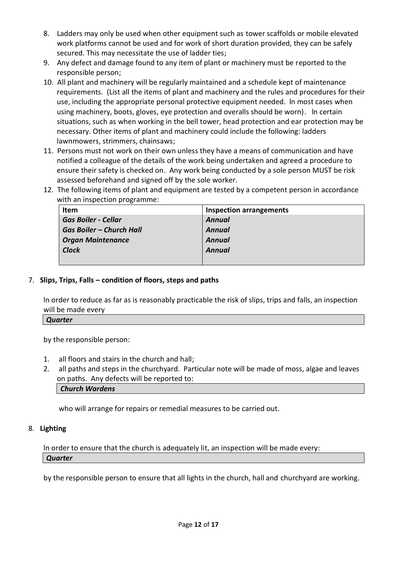- 8. Ladders may only be used when other equipment such as tower scaffolds or mobile elevated work platforms cannot be used and for work of short duration provided, they can be safely secured. This may necessitate the use of ladder ties;
- 9. Any defect and damage found to any item of plant or machinery must be reported to the responsible person;
- 10. All plant and machinery will be regularly maintained and a schedule kept of maintenance requirements. (List all the items of plant and machinery and the rules and procedures for their use, including the appropriate personal protective equipment needed. ln most cases when using machinery, boots, gloves, eye protection and overalls should be worn). ln certain situations, such as when working in the bell tower, head protection and ear protection may be necessary. Other items of plant and machinery could include the following: ladders lawnmowers, strimmers, chainsaws;
- 11. Persons must not work on their own unless they have a means of communication and have notified a colleague of the details of the work being undertaken and agreed a procedure to ensure their safety is checked on. Any work being conducted by a sole person MUST be risk assessed beforehand and signed off by the sole worker.
- 12. The following items of plant and equipment are tested by a competent person in accordance with an inspection programme:

| <b>Item</b>                     | <b>Inspection arrangements</b> |
|---------------------------------|--------------------------------|
| <b>Gas Boiler - Cellar</b>      | <b>Annual</b>                  |
| <b>Gas Boiler – Church Hall</b> | Annual                         |
| <b>Organ Maintenance</b>        | Annual                         |
| <b>Clock</b>                    | Annual                         |
|                                 |                                |

#### 7. **Slips, Trips, Falls – condition of floors, steps and paths**

ln order to reduce as far as is reasonably practicable the risk of slips, trips and falls, an inspection will be made every

#### *Quarter*

by the responsible person:

- 1. all floors and stairs in the church and hall;
- 2. all paths and steps in the churchyard. Particular note will be made of moss, algae and leaves on paths. Any defects will be reported to: *Church Wardens*

who will arrange for repairs or remedial measures to be carried out.

#### 8. **Lighting**

ln order to ensure that the church is adequately lit, an inspection will be made every: *Quarter*

by the responsible person to ensure that all lights in the church, hall and churchyard are working.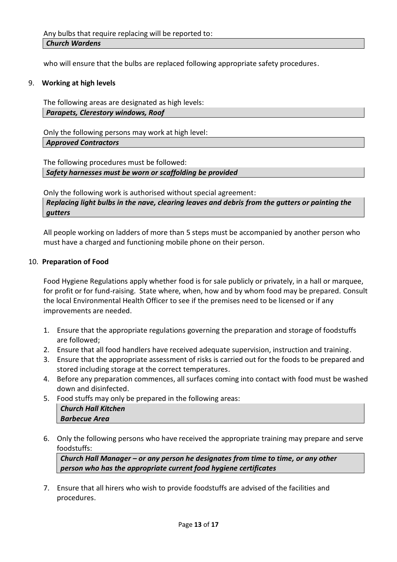who will ensure that the bulbs are replaced following appropriate safety procedures.

#### 9. **Working at high levels**

The following areas are designated as high levels: *Parapets, Clerestory windows, Roof*

Only the following persons may work at high level: *Approved Contractors*

The following procedures must be followed: *Safety harnesses must be worn or scaffolding be provided*

Only the following work is authorised without special agreement: *Replacing light bulbs in the nave, clearing leaves and debris from the gutters or painting the gutters*

All people working on ladders of more than 5 steps must be accompanied by another person who must have a charged and functioning mobile phone on their person.

#### 10. **Preparation of Food**

Food Hygiene Regulations apply whether food is for sale publicly or privately, in a hall or marquee, for profit or for fund-raising. State where, when, how and by whom food may be prepared. Consult the local Environmental Health Officer to see if the premises need to be licensed or if any improvements are needed.

- 1. Ensure that the appropriate regulations governing the preparation and storage of foodstuffs are followed;
- 2. Ensure that all food handlers have received adequate supervision, instruction and training.
- 3. Ensure that the appropriate assessment of risks is carried out for the foods to be prepared and stored including storage at the correct temperatures.
- 4. Before any preparation commences, all surfaces coming into contact with food must be washed down and disinfected.
- 5. Food stuffs may only be prepared in the following areas: *Church Hall Kitchen Barbecue Area*
- 6. Only the following persons who have received the appropriate training may prepare and serve foodstuffs:

*Church Hall Manager – or any person he designates from time to time, or any other person who has the appropriate current food hygiene certificates*

7. Ensure that all hirers who wish to provide foodstuffs are advised of the facilities and procedures.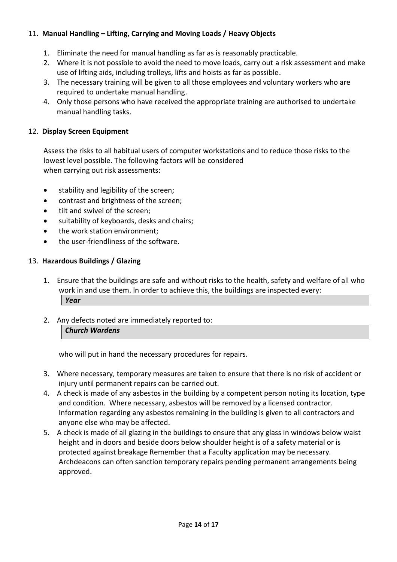## 11. **Manual Handling – Lifting, Carrying and Moving Loads / Heavy Objects**

- 1. Eliminate the need for manual handling as far as is reasonably practicable.
- 2. Where it is not possible to avoid the need to move loads, carry out a risk assessment and make use of lifting aids, including trolleys, lifts and hoists as far as possible.
- 3. The necessary training will be given to all those employees and voluntary workers who are required to undertake manual handling.
- 4. Only those persons who have received the appropriate training are authorised to undertake manual handling tasks.

#### 12. **Display Screen Equipment**

Assess the risks to all habitual users of computer workstations and to reduce those risks to the lowest level possible. The following factors will be considered when carrying out risk assessments:

- stability and legibility of the screen;
- contrast and brightness of the screen;
- tilt and swivel of the screen;
- suitability of keyboards, desks and chairs;
- the work station environment;
- the user-friendliness of the software.

#### 13. **Hazardous Buildings / Glazing**

- 1. Ensure that the buildings are safe and without risks to the health, safety and welfare of all who work in and use them. ln order to achieve this, the buildings are inspected every: *Year*
- 2. Any defects noted are immediately reported to:

*Church Wardens*

who will put in hand the necessary procedures for repairs.

- 3. Where necessary, temporary measures are taken to ensure that there is no risk of accident or injury until permanent repairs can be carried out.
- 4. A check is made of any asbestos in the building by a competent person noting its location, type and condition. Where necessary, asbestos will be removed by a licensed contractor. Information regarding any asbestos remaining in the building is given to all contractors and anyone else who may be affected.
- 5. A check is made of all glazing in the buildings to ensure that any glass in windows below waist height and in doors and beside doors below shoulder height is of a safety material or is protected against breakage Remember that a Faculty application may be necessary. Archdeacons can often sanction temporary repairs pending permanent arrangements being approved.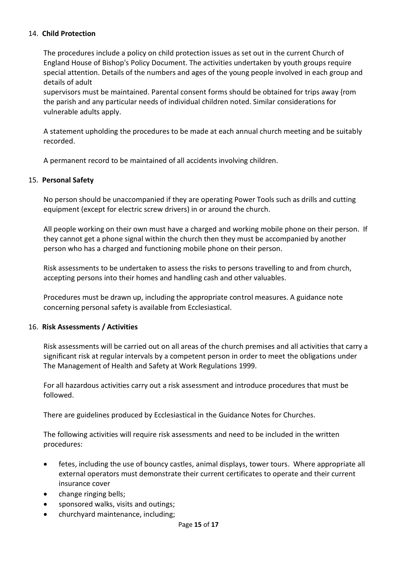#### 14. **Child Protection**

The procedures include a policy on child protection issues as set out in the current Church of England House of Bishop's Policy Document. The activities undertaken by youth groups require special attention. Details of the numbers and ages of the young people involved in each group and details of adult

supervisors must be maintained. Parental consent forms should be obtained for trips away {rom the parish and any particular needs of individual children noted. Similar considerations for vulnerable adults apply.

A statement upholding the procedures to be made at each annual church meeting and be suitably recorded.

A permanent record to be maintained of all accidents involving children.

#### 15. **Personal Safety**

No person should be unaccompanied if they are operating Power Tools such as drills and cutting equipment (except for electric screw drivers) in or around the church.

All people working on their own must have a charged and working mobile phone on their person. If they cannot get a phone signal within the church then they must be accompanied by another person who has a charged and functioning mobile phone on their person.

Risk assessments to be undertaken to assess the risks to persons travelling to and from church, accepting persons into their homes and handling cash and other valuables.

Procedures must be drawn up, including the appropriate control measures. A guidance note concerning personal safety is available from Ecclesiastical.

#### 16. **Risk Assessments / Activities**

Risk assessments will be carried out on all areas of the church premises and all activities that carry a significant risk at regular intervals by a competent person in order to meet the obligations under The Management of Health and Safety at Work Regulations 1999.

For all hazardous activities carry out a risk assessment and introduce procedures that must be followed.

There are guidelines produced by Ecclesiastical in the Guidance Notes for Churches.

The following activities will require risk assessments and need to be included in the written procedures:

- fetes, including the use of bouncy castles, animal displays, tower tours. Where appropriate all external operators must demonstrate their current certificates to operate and their current insurance cover
- change ringing bells;
- sponsored walks, visits and outings;
- churchyard maintenance, including;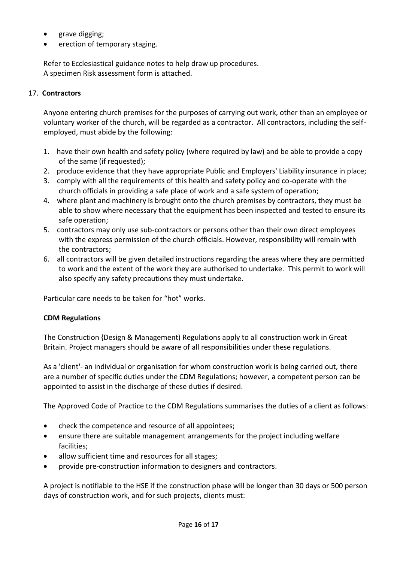- grave digging;
- erection of temporary staging.

Refer to Ecclesiastical guidance notes to help draw up procedures. A specimen Risk assessment form is attached.

## 17. **Contractors**

Anyone entering church premises for the purposes of carrying out work, other than an employee or voluntary worker of the church, will be regarded as a contractor. All contractors, including the selfemployed, must abide by the following:

- 1. have their own health and safety policy (where required by law) and be able to provide a copy of the same (if requested);
- 2. produce evidence that they have appropriate Public and Employers' Liability insurance in place;
- 3. comply with all the requirements of this health and safety policy and co-operate with the church officials in providing a safe place of work and a safe system of operation;
- 4. where plant and machinery is brought onto the church premises by contractors, they must be able to show where necessary that the equipment has been inspected and tested to ensure its safe operation;
- 5. contractors may only use sub-contractors or persons other than their own direct employees with the express permission of the church officials. However, responsibility will remain with the contractors;
- 6. all contractors will be given detailed instructions regarding the areas where they are permitted to work and the extent of the work they are authorised to undertake. This permit to work will also specify any safety precautions they must undertake.

Particular care needs to be taken for "hot" works.

#### **CDM Regulations**

The Construction {Design & Management) Regulations apply to all construction work in Great Britain. Project managers should be aware of all responsibilities under these regulations.

As a 'client'- an individual or organisation for whom construction work is being carried out, there are a number of specific duties under the CDM Regulations; however, a competent person can be appointed to assist in the discharge of these duties if desired.

The Approved Code of Practice to the CDM Regulations summarises the duties of a client as follows:

- check the competence and resource of all appointees;
- ensure there are suitable management arrangements for the project including welfare facilities;
- allow sufficient time and resources for all stages;
- provide pre-construction information to designers and contractors.

A project is notifiable to the HSE if the construction phase will be longer than 30 days or 500 person days of construction work, and for such projects, clients must: